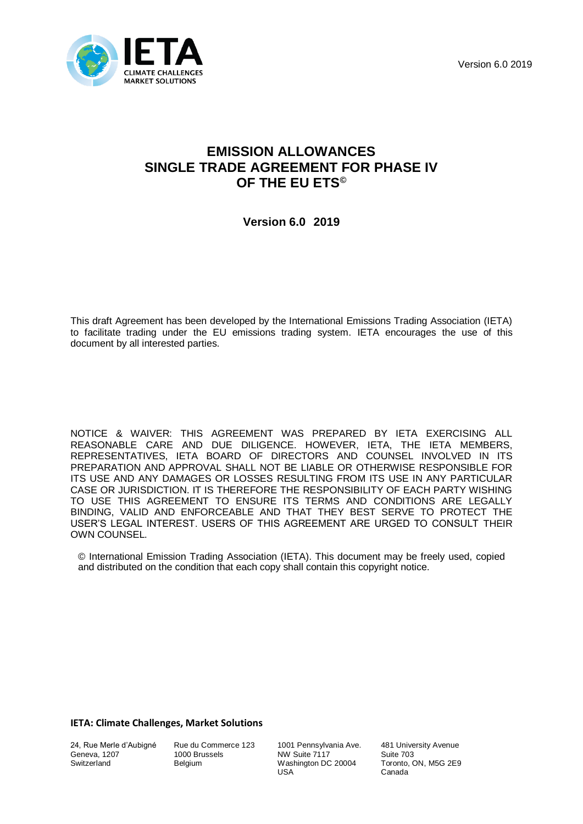Version 6.0 2019



# **EMISSION ALLOWANCES SINGLE TRADE AGREEMENT FOR PHASE IV OF THE EU ETS©**

**Version 6.0 2019**

This draft Agreement has been developed by the International Emissions Trading Association (IETA) to facilitate trading under the EU emissions trading system. IETA encourages the use of this document by all interested parties.

NOTICE & WAIVER: THIS AGREEMENT WAS PREPARED BY IETA EXERCISING ALL REASONABLE CARE AND DUE DILIGENCE. HOWEVER, IETA, THE IETA MEMBERS, REPRESENTATIVES, IETA BOARD OF DIRECTORS AND COUNSEL INVOLVED IN ITS PREPARATION AND APPROVAL SHALL NOT BE LIABLE OR OTHERWISE RESPONSIBLE FOR ITS USE AND ANY DAMAGES OR LOSSES RESULTING FROM ITS USE IN ANY PARTICULAR CASE OR JURISDICTION. IT IS THEREFORE THE RESPONSIBILITY OF EACH PARTY WISHING TO USE THIS AGREEMENT TO ENSURE ITS TERMS AND CONDITIONS ARE LEGALLY BINDING, VALID AND ENFORCEABLE AND THAT THEY BEST SERVE TO PROTECT THE USER'S LEGAL INTEREST. USERS OF THIS AGREEMENT ARE URGED TO CONSULT THEIR OWN COUNSEL.

© International Emission Trading Association (IETA). This document may be freely used, copied and distributed on the condition that each copy shall contain this copyright notice.

## **IETA: Climate Challenges, Market Solutions**

24, Rue Merle d'Aubigné Geneva, 1207 **Switzerland** 

Rue du Commerce 123 1000 Brussels Belgium

1001 Pennsylvania Ave. NW Suite 7117 Washington DC 20004 USA

481 University Avenue Suite 703 Toronto, ON, M5G 2E9 Canada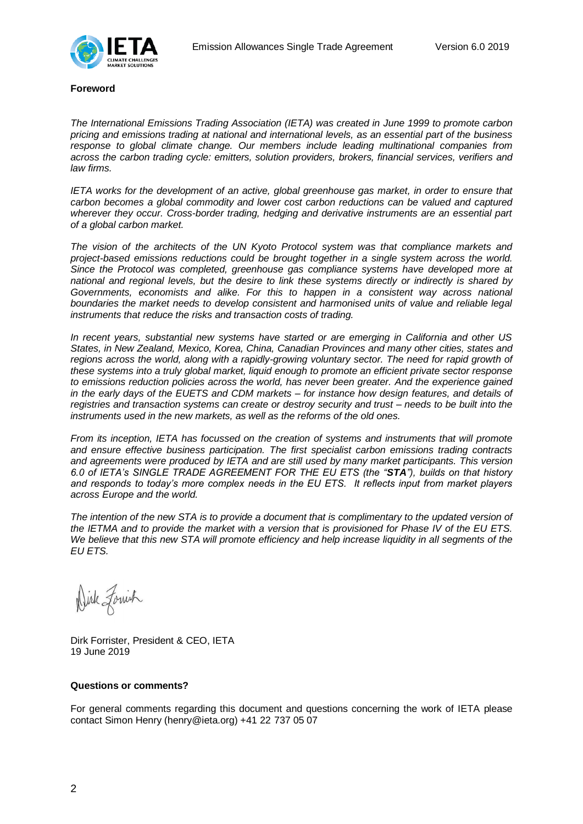

#### **Foreword**

*The International Emissions Trading Association (IETA) was created in June 1999 to promote carbon pricing and emissions trading at national and international levels, as an essential part of the business response to global climate change. Our members include leading multinational companies from across the carbon trading cycle: emitters, solution providers, brokers, financial services, verifiers and law firms.*

*IETA works for the development of an active, global greenhouse gas market, in order to ensure that carbon becomes a global commodity and lower cost carbon reductions can be valued and captured wherever they occur. Cross-border trading, hedging and derivative instruments are an essential part of a global carbon market.* 

*The vision of the architects of the UN Kyoto Protocol system was that compliance markets and project-based emissions reductions could be brought together in a single system across the world. Since the Protocol was completed, greenhouse gas compliance systems have developed more at national and regional levels, but the desire to link these systems directly or indirectly is shared by Governments, economists and alike. For this to happen in a consistent way across national boundaries the market needs to develop consistent and harmonised units of value and reliable legal instruments that reduce the risks and transaction costs of trading.*

*In recent years, substantial new systems have started or are emerging in California and other US States, in New Zealand, Mexico, Korea, China, Canadian Provinces and many other cities, states and regions across the world, along with a rapidly-growing voluntary sector. The need for rapid growth of these systems into a truly global market, liquid enough to promote an efficient private sector response to emissions reduction policies across the world, has never been greater. And the experience gained in the early days of the EUETS and CDM markets – for instance how design features, and details of registries and transaction systems can create or destroy security and trust – needs to be built into the instruments used in the new markets, as well as the reforms of the old ones.* 

*From its inception, IETA has focussed on the creation of systems and instruments that will promote and ensure effective business participation. The first specialist carbon emissions trading contracts and agreements were produced by IETA and are still used by many market participants. This version 6.0 of IETA's SINGLE TRADE AGREEMENT FOR THE EU ETS (the "STA"), builds on that history and responds to today's more complex needs in the EU ETS. It reflects input from market players across Europe and the world.* 

The intention of the new STA is to provide a document that is complimentary to the updated version of *the IETMA and to provide the market with a version that is provisioned for Phase IV of the EU ETS. We believe that this new STA will promote efficiency and help increase liquidity in all segments of the EU ETS.*

Wirk Forrish

Dirk Forrister, President & CEO, IETA 19 June 2019

#### **Questions or comments?**

For general comments regarding this document and questions concerning the work of IETA please contact Simon Henry (henry@ieta.org) +41 22 737 05 07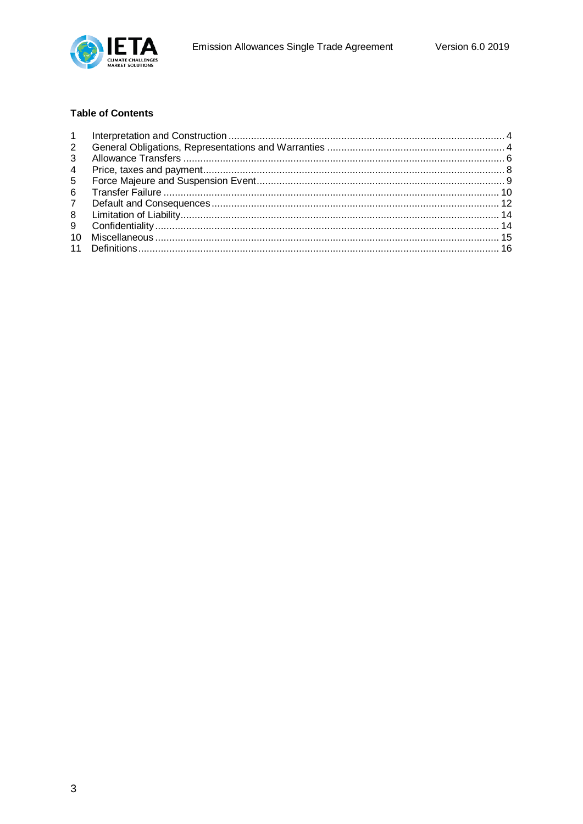

## **Table of Contents**

| 2              |  |
|----------------|--|
| 3              |  |
| $\overline{4}$ |  |
| 5              |  |
| 6              |  |
| $\overline{7}$ |  |
| 8              |  |
| 9              |  |
| $10^{-}$       |  |
|                |  |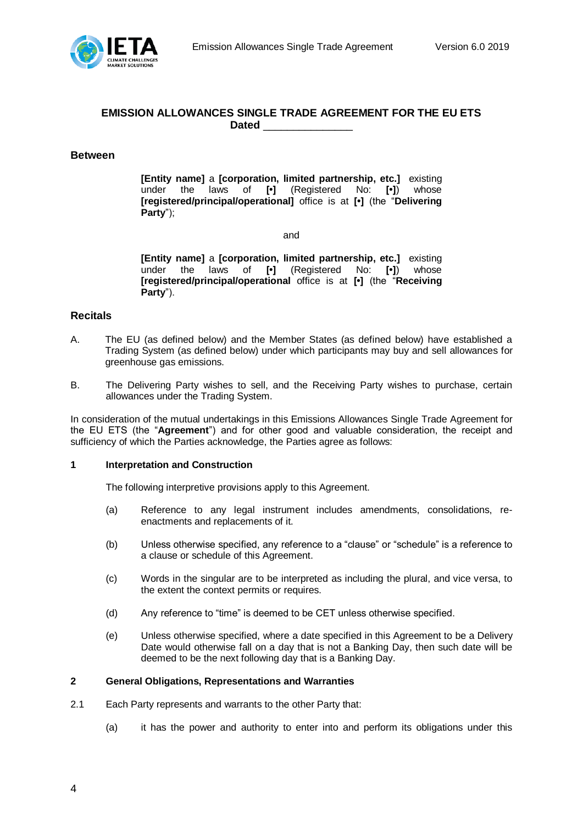

# **EMISSION ALLOWANCES SINGLE TRADE AGREEMENT FOR THE EU ETS Dated** \_\_\_\_\_\_\_\_\_\_\_\_\_\_\_

## **Between**

**[Entity name]** a **[corporation, limited partnership, etc.]** existing under the laws of **[•]** (Registered No: **[•]**) whose **[registered/principal/operational]** office is at **[•]** (the "**Delivering Party**");

and

**[Entity name]** a **[corporation, limited partnership, etc.]** existing under the laws of **[•]** (Registered No: **[•]**) whose **[registered/principal/operational** office is at **[•]** (the "**Receiving Party**").

## **Recitals**

- A. The EU (as defined below) and the Member States (as defined below) have established a Trading System (as defined below) under which participants may buy and sell allowances for greenhouse gas emissions.
- B. The Delivering Party wishes to sell, and the Receiving Party wishes to purchase, certain allowances under the Trading System.

In consideration of the mutual undertakings in this Emissions Allowances Single Trade Agreement for the EU ETS (the "**Agreement**") and for other good and valuable consideration, the receipt and sufficiency of which the Parties acknowledge, the Parties agree as follows:

#### <span id="page-3-0"></span>**1 Interpretation and Construction**

The following interpretive provisions apply to this Agreement.

- (a) Reference to any legal instrument includes amendments, consolidations, reenactments and replacements of it.
- (b) Unless otherwise specified, any reference to a "clause" or "schedule" is a reference to a clause or schedule of this Agreement.
- (c) Words in the singular are to be interpreted as including the plural, and vice versa, to the extent the context permits or requires.
- (d) Any reference to "time" is deemed to be CET unless otherwise specified.
- (e) Unless otherwise specified, where a date specified in this Agreement to be a Delivery Date would otherwise fall on a day that is not a Banking Day, then such date will be deemed to be the next following day that is a Banking Day.

## <span id="page-3-1"></span>**2 General Obligations, Representations and Warranties**

- 2.1 Each Party represents and warrants to the other Party that:
	- (a) it has the power and authority to enter into and perform its obligations under this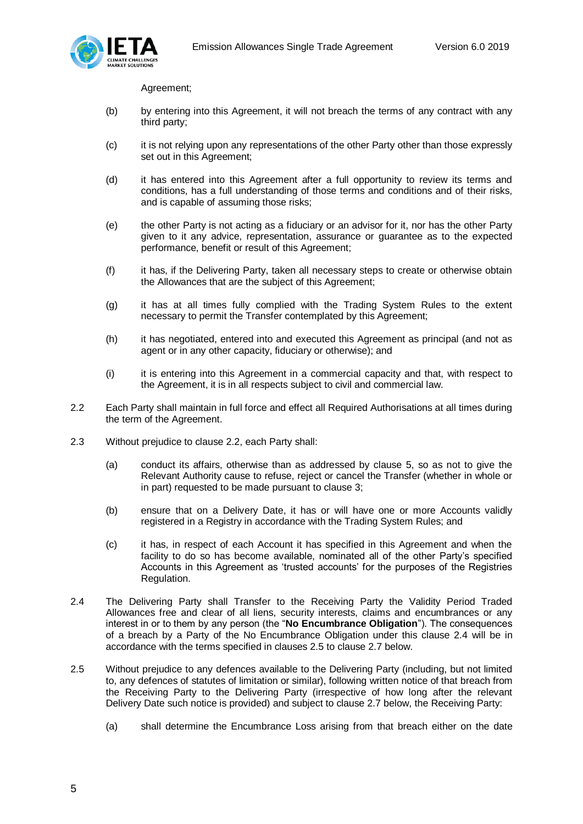

Agreement;

- (b) by entering into this Agreement, it will not breach the terms of any contract with any third party;
- (c) it is not relying upon any representations of the other Party other than those expressly set out in this Agreement;
- (d) it has entered into this Agreement after a full opportunity to review its terms and conditions, has a full understanding of those terms and conditions and of their risks, and is capable of assuming those risks;
- (e) the other Party is not acting as a fiduciary or an advisor for it, nor has the other Party given to it any advice, representation, assurance or guarantee as to the expected performance, benefit or result of this Agreement;
- (f) it has, if the Delivering Party, taken all necessary steps to create or otherwise obtain the Allowances that are the subject of this Agreement;
- (g) it has at all times fully complied with the Trading System Rules to the extent necessary to permit the Transfer contemplated by this Agreement;
- (h) it has negotiated, entered into and executed this Agreement as principal (and not as agent or in any other capacity, fiduciary or otherwise); and
- (i) it is entering into this Agreement in a commercial capacity and that, with respect to the Agreement, it is in all respects subject to civil and commercial law.
- 2.2 Each Party shall maintain in full force and effect all Required Authorisations at all times during the term of the Agreement.
- 2.3 Without prejudice to clause 2.2, each Party shall:
	- (a) conduct its affairs, otherwise than as addressed by clause 5, so as not to give the Relevant Authority cause to refuse, reject or cancel the Transfer (whether in whole or in part) requested to be made pursuant to clause 3;
	- (b) ensure that on a Delivery Date, it has or will have one or more Accounts validly registered in a Registry in accordance with the Trading System Rules; and
	- (c) it has, in respect of each Account it has specified in this Agreement and when the facility to do so has become available, nominated all of the other Party's specified Accounts in this Agreement as 'trusted accounts' for the purposes of the Registries Regulation.
- 2.4 The Delivering Party shall Transfer to the Receiving Party the Validity Period Traded Allowances free and clear of all liens, security interests, claims and encumbrances or any interest in or to them by any person (the "**No Encumbrance Obligation**"). The consequences of a breach by a Party of the No Encumbrance Obligation under this clause 2.4 will be in accordance with the terms specified in clauses 2.5 to clause 2.7 below.
- 2.5 Without prejudice to any defences available to the Delivering Party (including, but not limited to, any defences of statutes of limitation or similar), following written notice of that breach from the Receiving Party to the Delivering Party (irrespective of how long after the relevant Delivery Date such notice is provided) and subject to clause 2.7 below, the Receiving Party:
	- (a) shall determine the Encumbrance Loss arising from that breach either on the date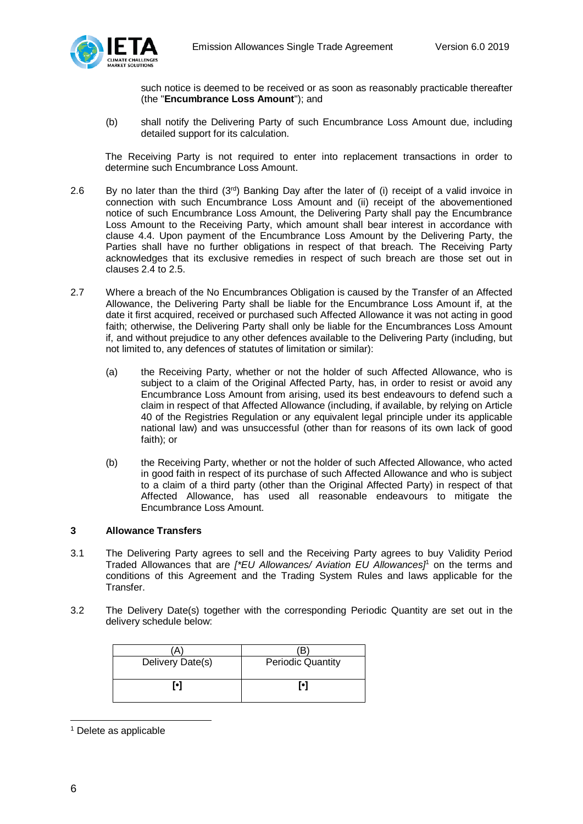

such notice is deemed to be received or as soon as reasonably practicable thereafter (the "**Encumbrance Loss Amount**"); and

(b) shall notify the Delivering Party of such Encumbrance Loss Amount due, including detailed support for its calculation.

The Receiving Party is not required to enter into replacement transactions in order to determine such Encumbrance Loss Amount.

- 2.6 By no later than the third  $(3<sup>rd</sup>)$  Banking Day after the later of (i) receipt of a valid invoice in connection with such Encumbrance Loss Amount and (ii) receipt of the abovementioned notice of such Encumbrance Loss Amount, the Delivering Party shall pay the Encumbrance Loss Amount to the Receiving Party, which amount shall bear interest in accordance with clause 4.4. Upon payment of the Encumbrance Loss Amount by the Delivering Party, the Parties shall have no further obligations in respect of that breach. The Receiving Party acknowledges that its exclusive remedies in respect of such breach are those set out in clauses 2.4 to 2.5.
- 2.7 Where a breach of the No Encumbrances Obligation is caused by the Transfer of an Affected Allowance, the Delivering Party shall be liable for the Encumbrance Loss Amount if, at the date it first acquired, received or purchased such Affected Allowance it was not acting in good faith; otherwise, the Delivering Party shall only be liable for the Encumbrances Loss Amount if, and without prejudice to any other defences available to the Delivering Party (including, but not limited to, any defences of statutes of limitation or similar):
	- (a) the Receiving Party, whether or not the holder of such Affected Allowance, who is subject to a claim of the Original Affected Party, has, in order to resist or avoid any Encumbrance Loss Amount from arising, used its best endeavours to defend such a claim in respect of that Affected Allowance (including, if available, by relying on Article 40 of the Registries Regulation or any equivalent legal principle under its applicable national law) and was unsuccessful (other than for reasons of its own lack of good faith); or
	- (b) the Receiving Party, whether or not the holder of such Affected Allowance, who acted in good faith in respect of its purchase of such Affected Allowance and who is subject to a claim of a third party (other than the Original Affected Party) in respect of that Affected Allowance, has used all reasonable endeavours to mitigate the Encumbrance Loss Amount.

## <span id="page-5-0"></span>**3 Allowance Transfers**

- 3.1 The Delivering Party agrees to sell and the Receiving Party agrees to buy Validity Period Traded Allowances that are *[\*EU Allowances/ Aviation EU Allowances]*<sup>1</sup> on the terms and conditions of this Agreement and the Trading System Rules and laws applicable for the Transfer.
- 3.2 The Delivery Date(s) together with the corresponding Periodic Quantity are set out in the delivery schedule below:

| A                |                          |
|------------------|--------------------------|
| Delivery Date(s) | <b>Periodic Quantity</b> |
| r•1              | Г•1                      |

<sup>1</sup> Delete as applicable

1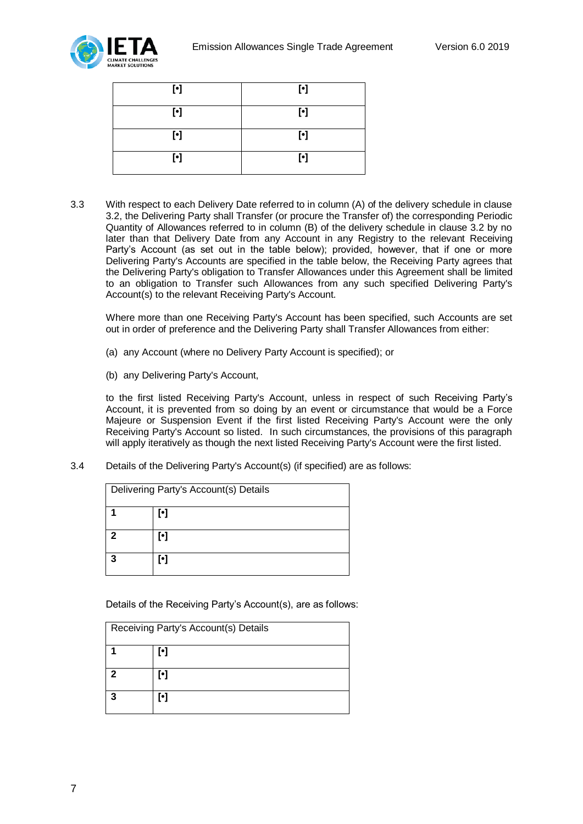

| $\lbrack \cdot \rbrack$ | $[\cdot]$ |
|-------------------------|-----------|
| $\lbrack \cdot \rbrack$ | $[\cdot]$ |
| $\lbrack \cdot \rbrack$ | $[\cdot]$ |
| $\lbrack \cdot \rbrack$ | $[\cdot]$ |

3.3 With respect to each Delivery Date referred to in column (A) of the delivery schedule in clause 3.2, the Delivering Party shall Transfer (or procure the Transfer of) the corresponding Periodic Quantity of Allowances referred to in column (B) of the delivery schedule in clause 3.2 by no later than that Delivery Date from any Account in any Registry to the relevant Receiving Party's Account (as set out in the table below); provided, however, that if one or more Delivering Party's Accounts are specified in the table below, the Receiving Party agrees that the Delivering Party's obligation to Transfer Allowances under this Agreement shall be limited to an obligation to Transfer such Allowances from any such specified Delivering Party's Account(s) to the relevant Receiving Party's Account.

Where more than one Receiving Party's Account has been specified, such Accounts are set out in order of preference and the Delivering Party shall Transfer Allowances from either:

- (a) any Account (where no Delivery Party Account is specified); or
- (b) any Delivering Party's Account,

to the first listed Receiving Party's Account, unless in respect of such Receiving Party's Account, it is prevented from so doing by an event or circumstance that would be a Force Majeure or Suspension Event if the first listed Receiving Party's Account were the only Receiving Party's Account so listed. In such circumstances, the provisions of this paragraph will apply iteratively as though the next listed Receiving Party's Account were the first listed.

3.4 Details of the Delivering Party's Account(s) (if specified) are as follows:

| Delivering Party's Account(s) Details |                         |  |  |  |  |
|---------------------------------------|-------------------------|--|--|--|--|
|                                       | $\lbrack \cdot \rbrack$ |  |  |  |  |
| 2                                     | [•]                     |  |  |  |  |
| 3                                     | Г•1                     |  |  |  |  |

Details of the Receiving Party's Account(s), are as follows:

| Receiving Party's Account(s) Details |     |  |  |  |
|--------------------------------------|-----|--|--|--|
|                                      | [•] |  |  |  |
| 2                                    | [•] |  |  |  |
| 2                                    | M.  |  |  |  |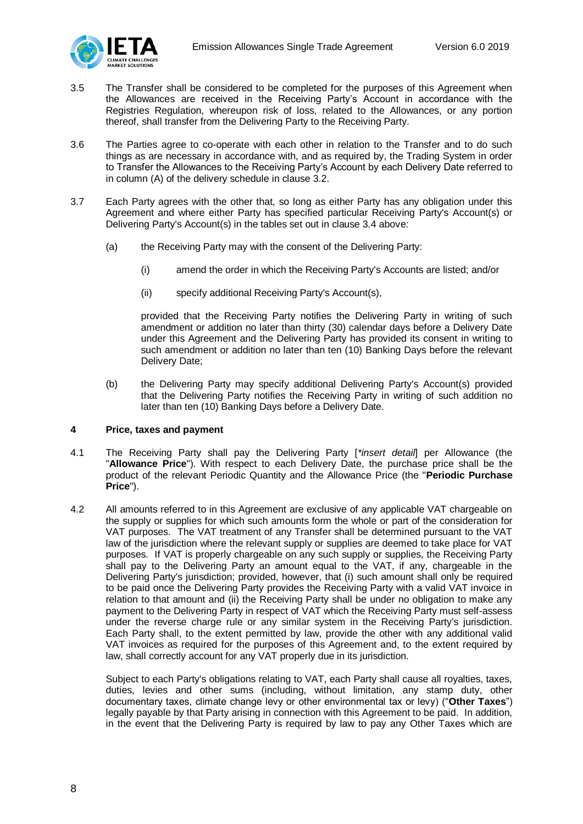

- 3.5 The Transfer shall be considered to be completed for the purposes of this Agreement when the Allowances are received in the Receiving Party's Account in accordance with the Registries Regulation, whereupon risk of loss, related to the Allowances, or any portion thereof, shall transfer from the Delivering Party to the Receiving Party.
- 3.6 The Parties agree to co-operate with each other in relation to the Transfer and to do such things as are necessary in accordance with, and as required by, the Trading System in order to Transfer the Allowances to the Receiving Party's Account by each Delivery Date referred to in column (A) of the delivery schedule in clause 3.2.
- 3.7 Each Party agrees with the other that, so long as either Party has any obligation under this Agreement and where either Party has specified particular Receiving Party's Account(s) or Delivering Party's Account(s) in the tables set out in clause 3.4 above:
	- (a) the Receiving Party may with the consent of the Delivering Party:
		- (i) amend the order in which the Receiving Party's Accounts are listed; and/or
		- (ii) specify additional Receiving Party's Account(s),

provided that the Receiving Party notifies the Delivering Party in writing of such amendment or addition no later than thirty (30) calendar days before a Delivery Date under this Agreement and the Delivering Party has provided its consent in writing to such amendment or addition no later than ten (10) Banking Days before the relevant Delivery Date;

(b) the Delivering Party may specify additional Delivering Party's Account(s) provided that the Delivering Party notifies the Receiving Party in writing of such addition no later than ten (10) Banking Days before a Delivery Date.

#### <span id="page-7-0"></span>**4 Price, taxes and payment**

- 4.1 The Receiving Party shall pay the Delivering Party [*\*insert detail*] per Allowance (the "**Allowance Price**"). With respect to each Delivery Date, the purchase price shall be the product of the relevant Periodic Quantity and the Allowance Price (the "**Periodic Purchase Price**").
- 4.2 All amounts referred to in this Agreement are exclusive of any applicable VAT chargeable on the supply or supplies for which such amounts form the whole or part of the consideration for VAT purposes. The VAT treatment of any Transfer shall be determined pursuant to the VAT law of the jurisdiction where the relevant supply or supplies are deemed to take place for VAT purposes. If VAT is properly chargeable on any such supply or supplies, the Receiving Party shall pay to the Delivering Party an amount equal to the VAT, if any, chargeable in the Delivering Party's jurisdiction; provided, however, that (i) such amount shall only be required to be paid once the Delivering Party provides the Receiving Party with a valid VAT invoice in relation to that amount and (ii) the Receiving Party shall be under no obligation to make any payment to the Delivering Party in respect of VAT which the Receiving Party must self-assess under the reverse charge rule or any similar system in the Receiving Party's jurisdiction. Each Party shall, to the extent permitted by law, provide the other with any additional valid VAT invoices as required for the purposes of this Agreement and, to the extent required by law, shall correctly account for any VAT properly due in its jurisdiction.

Subject to each Party's obligations relating to VAT, each Party shall cause all royalties, taxes, duties, levies and other sums (including, without limitation, any stamp duty, other documentary taxes, climate change levy or other environmental tax or levy) ("**Other Taxes**") legally payable by that Party arising in connection with this Agreement to be paid. In addition, in the event that the Delivering Party is required by law to pay any Other Taxes which are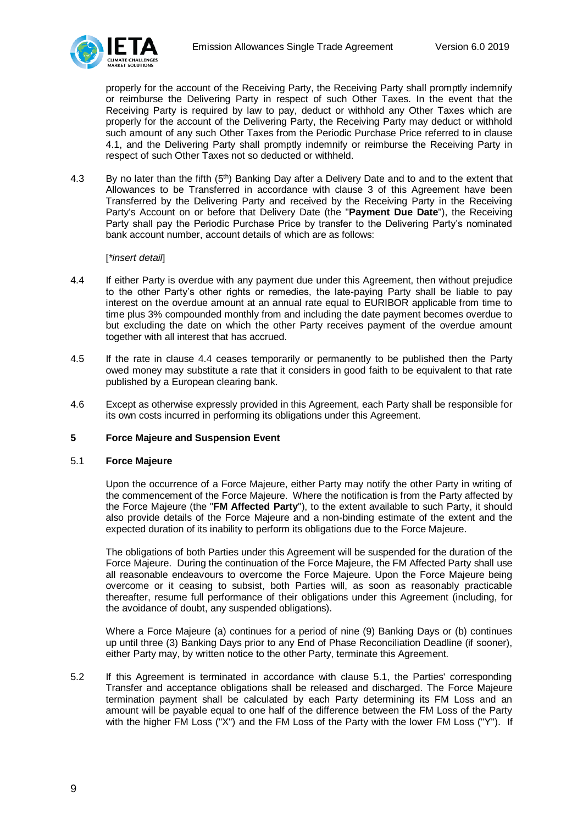

properly for the account of the Receiving Party, the Receiving Party shall promptly indemnify or reimburse the Delivering Party in respect of such Other Taxes. In the event that the Receiving Party is required by law to pay, deduct or withhold any Other Taxes which are properly for the account of the Delivering Party, the Receiving Party may deduct or withhold such amount of any such Other Taxes from the Periodic Purchase Price referred to in clause 4.1, and the Delivering Party shall promptly indemnify or reimburse the Receiving Party in respect of such Other Taxes not so deducted or withheld.

4.3 By no later than the fifth (5<sup>th</sup>) Banking Day after a Delivery Date and to and to the extent that Allowances to be Transferred in accordance with clause 3 of this Agreement have been Transferred by the Delivering Party and received by the Receiving Party in the Receiving Party's Account on or before that Delivery Date (the "**Payment Due Date**"), the Receiving Party shall pay the Periodic Purchase Price by transfer to the Delivering Party's nominated bank account number, account details of which are as follows:

### [*\*insert detail*]

- 4.4 If either Party is overdue with any payment due under this Agreement, then without prejudice to the other Party's other rights or remedies, the late-paying Party shall be liable to pay interest on the overdue amount at an annual rate equal to EURIBOR applicable from time to time plus 3% compounded monthly from and including the date payment becomes overdue to but excluding the date on which the other Party receives payment of the overdue amount together with all interest that has accrued.
- 4.5 If the rate in clause 4.4 ceases temporarily or permanently to be published then the Party owed money may substitute a rate that it considers in good faith to be equivalent to that rate published by a European clearing bank.
- 4.6 Except as otherwise expressly provided in this Agreement, each Party shall be responsible for its own costs incurred in performing its obligations under this Agreement.

#### <span id="page-8-0"></span>**5 Force Majeure and Suspension Event**

#### 5.1 **Force Majeure**

Upon the occurrence of a Force Majeure, either Party may notify the other Party in writing of the commencement of the Force Majeure. Where the notification is from the Party affected by the Force Majeure (the "**FM Affected Party**"), to the extent available to such Party, it should also provide details of the Force Majeure and a non-binding estimate of the extent and the expected duration of its inability to perform its obligations due to the Force Majeure.

The obligations of both Parties under this Agreement will be suspended for the duration of the Force Majeure. During the continuation of the Force Majeure, the FM Affected Party shall use all reasonable endeavours to overcome the Force Majeure. Upon the Force Majeure being overcome or it ceasing to subsist, both Parties will, as soon as reasonably practicable thereafter, resume full performance of their obligations under this Agreement (including, for the avoidance of doubt, any suspended obligations).

Where a Force Majeure (a) continues for a period of nine (9) Banking Days or (b) continues up until three (3) Banking Days prior to any End of Phase Reconciliation Deadline (if sooner), either Party may, by written notice to the other Party, terminate this Agreement.

5.2 If this Agreement is terminated in accordance with clause 5.1, the Parties' corresponding Transfer and acceptance obligations shall be released and discharged. The Force Majeure termination payment shall be calculated by each Party determining its FM Loss and an amount will be payable equal to one half of the difference between the FM Loss of the Party with the higher FM Loss ("X") and the FM Loss of the Party with the lower FM Loss ("Y"). If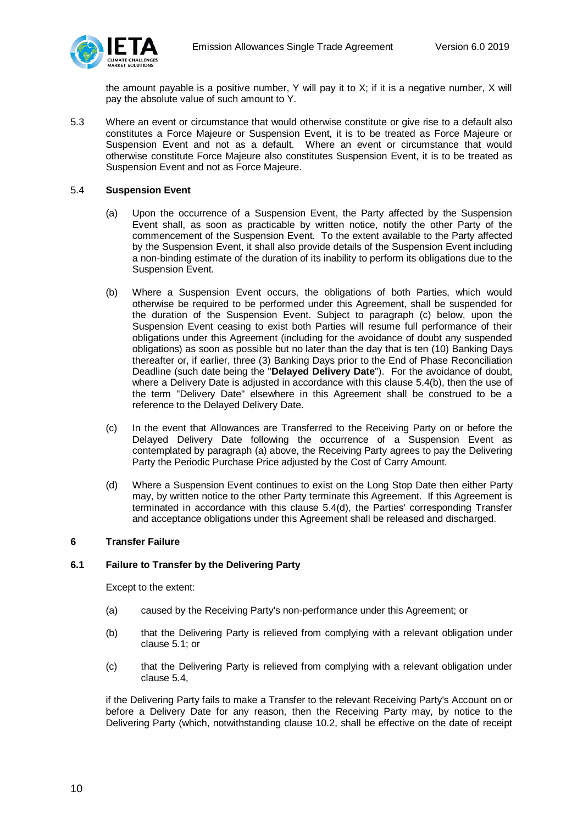

the amount payable is a positive number, Y will pay it to X; if it is a negative number, X will pay the absolute value of such amount to Y.

5.3 Where an event or circumstance that would otherwise constitute or give rise to a default also constitutes a Force Majeure or Suspension Event, it is to be treated as Force Majeure or Suspension Event and not as a default. Where an event or circumstance that would otherwise constitute Force Majeure also constitutes Suspension Event, it is to be treated as Suspension Event and not as Force Majeure.

### 5.4 **Suspension Event**

- (a) Upon the occurrence of a Suspension Event, the Party affected by the Suspension Event shall, as soon as practicable by written notice, notify the other Party of the commencement of the Suspension Event. To the extent available to the Party affected by the Suspension Event, it shall also provide details of the Suspension Event including a non-binding estimate of the duration of its inability to perform its obligations due to the Suspension Event.
- (b) Where a Suspension Event occurs, the obligations of both Parties, which would otherwise be required to be performed under this Agreement, shall be suspended for the duration of the Suspension Event. Subject to paragraph (c) below, upon the Suspension Event ceasing to exist both Parties will resume full performance of their obligations under this Agreement (including for the avoidance of doubt any suspended obligations) as soon as possible but no later than the day that is ten (10) Banking Days thereafter or, if earlier, three (3) Banking Days prior to the End of Phase Reconciliation Deadline (such date being the "**Delayed Delivery Date**"). For the avoidance of doubt, where a Delivery Date is adjusted in accordance with this clause 5.4(b), then the use of the term "Delivery Date" elsewhere in this Agreement shall be construed to be a reference to the Delayed Delivery Date.
- (c) In the event that Allowances are Transferred to the Receiving Party on or before the Delayed Delivery Date following the occurrence of a Suspension Event as contemplated by paragraph (a) above, the Receiving Party agrees to pay the Delivering Party the Periodic Purchase Price adjusted by the Cost of Carry Amount.
- (d) Where a Suspension Event continues to exist on the Long Stop Date then either Party may, by written notice to the other Party terminate this Agreement. If this Agreement is terminated in accordance with this clause 5.4(d), the Parties' corresponding Transfer and acceptance obligations under this Agreement shall be released and discharged.

## <span id="page-9-0"></span>**6 Transfer Failure**

## **6.1 Failure to Transfer by the Delivering Party**

Except to the extent:

- (a) caused by the Receiving Party's non-performance under this Agreement; or
- (b) that the Delivering Party is relieved from complying with a relevant obligation under clause 5.1; or
- (c) that the Delivering Party is relieved from complying with a relevant obligation under clause 5.4,

if the Delivering Party fails to make a Transfer to the relevant Receiving Party's Account on or before a Delivery Date for any reason, then the Receiving Party may, by notice to the Delivering Party (which, notwithstanding clause 10.2, shall be effective on the date of receipt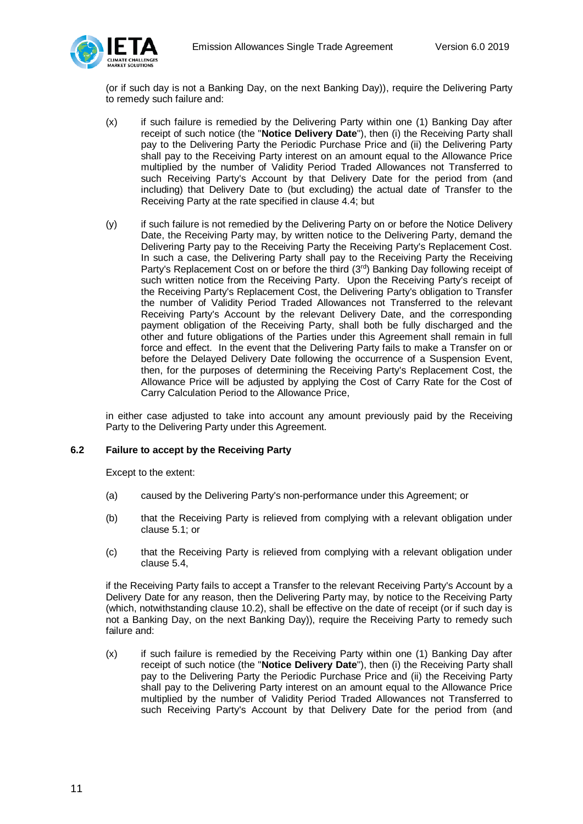

(or if such day is not a Banking Day, on the next Banking Day)), require the Delivering Party to remedy such failure and:

- (x) if such failure is remedied by the Delivering Party within one (1) Banking Day after receipt of such notice (the "**Notice Delivery Date**"), then (i) the Receiving Party shall pay to the Delivering Party the Periodic Purchase Price and (ii) the Delivering Party shall pay to the Receiving Party interest on an amount equal to the Allowance Price multiplied by the number of Validity Period Traded Allowances not Transferred to such Receiving Party's Account by that Delivery Date for the period from (and including) that Delivery Date to (but excluding) the actual date of Transfer to the Receiving Party at the rate specified in clause 4.4; but
- (y) if such failure is not remedied by the Delivering Party on or before the Notice Delivery Date, the Receiving Party may, by written notice to the Delivering Party, demand the Delivering Party pay to the Receiving Party the Receiving Party's Replacement Cost. In such a case, the Delivering Party shall pay to the Receiving Party the Receiving Party's Replacement Cost on or before the third (3<sup>rd</sup>) Banking Day following receipt of such written notice from the Receiving Party. Upon the Receiving Party's receipt of the Receiving Party's Replacement Cost, the Delivering Party's obligation to Transfer the number of Validity Period Traded Allowances not Transferred to the relevant Receiving Party's Account by the relevant Delivery Date, and the corresponding payment obligation of the Receiving Party, shall both be fully discharged and the other and future obligations of the Parties under this Agreement shall remain in full force and effect. In the event that the Delivering Party fails to make a Transfer on or before the Delayed Delivery Date following the occurrence of a Suspension Event, then, for the purposes of determining the Receiving Party's Replacement Cost, the Allowance Price will be adjusted by applying the Cost of Carry Rate for the Cost of Carry Calculation Period to the Allowance Price,

in either case adjusted to take into account any amount previously paid by the Receiving Party to the Delivering Party under this Agreement.

## **6.2 Failure to accept by the Receiving Party**

Except to the extent:

- (a) caused by the Delivering Party's non-performance under this Agreement; or
- (b) that the Receiving Party is relieved from complying with a relevant obligation under clause 5.1; or
- (c) that the Receiving Party is relieved from complying with a relevant obligation under clause 5.4,

if the Receiving Party fails to accept a Transfer to the relevant Receiving Party's Account by a Delivery Date for any reason, then the Delivering Party may, by notice to the Receiving Party (which, notwithstanding clause 10.2), shall be effective on the date of receipt (or if such day is not a Banking Day, on the next Banking Day)), require the Receiving Party to remedy such failure and:

(x) if such failure is remedied by the Receiving Party within one (1) Banking Day after receipt of such notice (the "**Notice Delivery Date**"), then (i) the Receiving Party shall pay to the Delivering Party the Periodic Purchase Price and (ii) the Receiving Party shall pay to the Delivering Party interest on an amount equal to the Allowance Price multiplied by the number of Validity Period Traded Allowances not Transferred to such Receiving Party's Account by that Delivery Date for the period from (and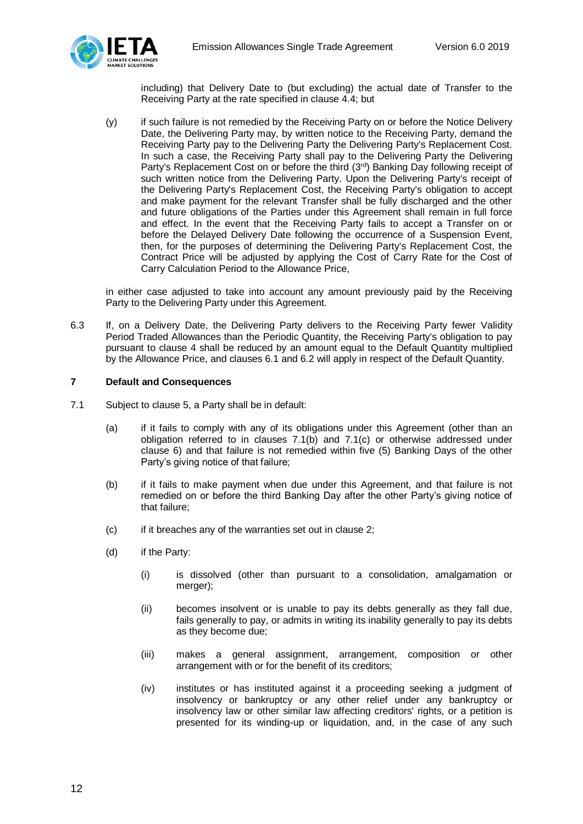

including) that Delivery Date to (but excluding) the actual date of Transfer to the Receiving Party at the rate specified in clause 4.4; but

(y) if such failure is not remedied by the Receiving Party on or before the Notice Delivery Date, the Delivering Party may, by written notice to the Receiving Party, demand the Receiving Party pay to the Delivering Party the Delivering Party's Replacement Cost. In such a case, the Receiving Party shall pay to the Delivering Party the Delivering Party's Replacement Cost on or before the third (3<sup>rd</sup>) Banking Day following receipt of such written notice from the Delivering Party. Upon the Delivering Party's receipt of the Delivering Party's Replacement Cost, the Receiving Party's obligation to accept and make payment for the relevant Transfer shall be fully discharged and the other and future obligations of the Parties under this Agreement shall remain in full force and effect. In the event that the Receiving Party fails to accept a Transfer on or before the Delayed Delivery Date following the occurrence of a Suspension Event, then, for the purposes of determining the Delivering Party's Replacement Cost, the Contract Price will be adjusted by applying the Cost of Carry Rate for the Cost of Carry Calculation Period to the Allowance Price,

in either case adjusted to take into account any amount previously paid by the Receiving Party to the Delivering Party under this Agreement.

6.3 If, on a Delivery Date, the Delivering Party delivers to the Receiving Party fewer Validity Period Traded Allowances than the Periodic Quantity, the Receiving Party's obligation to pay pursuant to clause 4 shall be reduced by an amount equal to the Default Quantity multiplied by the Allowance Price, and clauses 6.1 and 6.2 will apply in respect of the Default Quantity.

## <span id="page-11-0"></span>**7 Default and Consequences**

- 7.1 Subject to clause 5, a Party shall be in default:
	- (a) if it fails to comply with any of its obligations under this Agreement (other than an obligation referred to in clauses 7.1(b) and 7.1(c) or otherwise addressed under clause 6) and that failure is not remedied within five (5) Banking Days of the other Party's giving notice of that failure;
	- (b) if it fails to make payment when due under this Agreement, and that failure is not remedied on or before the third Banking Day after the other Party's giving notice of that failure;
	- (c) if it breaches any of the warranties set out in clause 2;
	- (d) if the Party:
		- (i) is dissolved (other than pursuant to a consolidation, amalgamation or merger);
		- (ii) becomes insolvent or is unable to pay its debts generally as they fall due, fails generally to pay, or admits in writing its inability generally to pay its debts as they become due;
		- (iii) makes a general assignment, arrangement, composition or other arrangement with or for the benefit of its creditors;
		- (iv) institutes or has instituted against it a proceeding seeking a judgment of insolvency or bankruptcy or any other relief under any bankruptcy or insolvency law or other similar law affecting creditors' rights, or a petition is presented for its winding-up or liquidation, and, in the case of any such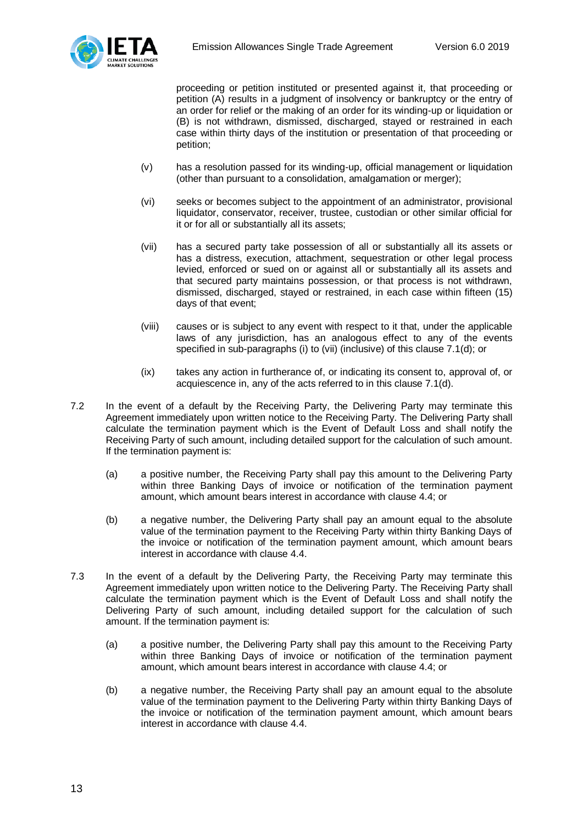

proceeding or petition instituted or presented against it, that proceeding or petition (A) results in a judgment of insolvency or bankruptcy or the entry of an order for relief or the making of an order for its winding-up or liquidation or (B) is not withdrawn, dismissed, discharged, stayed or restrained in each case within thirty days of the institution or presentation of that proceeding or petition;

- (v) has a resolution passed for its winding-up, official management or liquidation (other than pursuant to a consolidation, amalgamation or merger);
- (vi) seeks or becomes subject to the appointment of an administrator, provisional liquidator, conservator, receiver, trustee, custodian or other similar official for it or for all or substantially all its assets;
- (vii) has a secured party take possession of all or substantially all its assets or has a distress, execution, attachment, sequestration or other legal process levied, enforced or sued on or against all or substantially all its assets and that secured party maintains possession, or that process is not withdrawn, dismissed, discharged, stayed or restrained, in each case within fifteen (15) days of that event;
- (viii) causes or is subject to any event with respect to it that, under the applicable laws of any jurisdiction, has an analogous effect to any of the events specified in sub-paragraphs (i) to (vii) (inclusive) of this clause 7.1(d); or
- (ix) takes any action in furtherance of, or indicating its consent to, approval of, or acquiescence in, any of the acts referred to in this clause 7.1(d).
- 7.2 In the event of a default by the Receiving Party, the Delivering Party may terminate this Agreement immediately upon written notice to the Receiving Party. The Delivering Party shall calculate the termination payment which is the Event of Default Loss and shall notify the Receiving Party of such amount, including detailed support for the calculation of such amount. If the termination payment is:
	- (a) a positive number, the Receiving Party shall pay this amount to the Delivering Party within three Banking Days of invoice or notification of the termination payment amount, which amount bears interest in accordance with clause 4.4; or
	- (b) a negative number, the Delivering Party shall pay an amount equal to the absolute value of the termination payment to the Receiving Party within thirty Banking Days of the invoice or notification of the termination payment amount, which amount bears interest in accordance with clause 4.4.
- 7.3 In the event of a default by the Delivering Party, the Receiving Party may terminate this Agreement immediately upon written notice to the Delivering Party. The Receiving Party shall calculate the termination payment which is the Event of Default Loss and shall notify the Delivering Party of such amount, including detailed support for the calculation of such amount. If the termination payment is:
	- (a) a positive number, the Delivering Party shall pay this amount to the Receiving Party within three Banking Days of invoice or notification of the termination payment amount, which amount bears interest in accordance with clause 4.4; or
	- (b) a negative number, the Receiving Party shall pay an amount equal to the absolute value of the termination payment to the Delivering Party within thirty Banking Days of the invoice or notification of the termination payment amount, which amount bears interest in accordance with clause 4.4.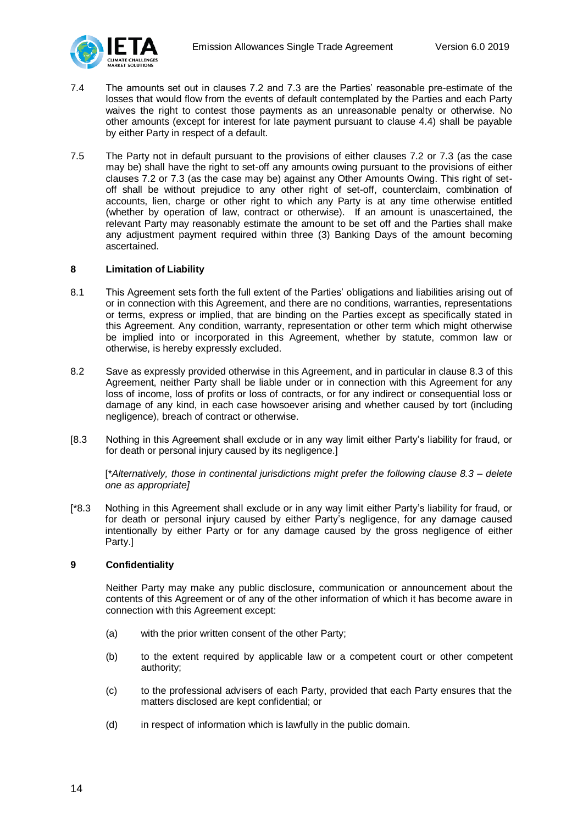

- 7.4 The amounts set out in clauses 7.2 and 7.3 are the Parties' reasonable pre-estimate of the losses that would flow from the events of default contemplated by the Parties and each Party waives the right to contest those payments as an unreasonable penalty or otherwise. No other amounts (except for interest for late payment pursuant to clause 4.4) shall be payable by either Party in respect of a default.
- 7.5 The Party not in default pursuant to the provisions of either clauses 7.2 or 7.3 (as the case may be) shall have the right to set-off any amounts owing pursuant to the provisions of either clauses 7.2 or 7.3 (as the case may be) against any Other Amounts Owing. This right of setoff shall be without prejudice to any other right of set-off, counterclaim, combination of accounts, lien, charge or other right to which any Party is at any time otherwise entitled (whether by operation of law, contract or otherwise). If an amount is unascertained, the relevant Party may reasonably estimate the amount to be set off and the Parties shall make any adjustment payment required within three (3) Banking Days of the amount becoming ascertained.

### <span id="page-13-0"></span>**8 Limitation of Liability**

- 8.1 This Agreement sets forth the full extent of the Parties' obligations and liabilities arising out of or in connection with this Agreement, and there are no conditions, warranties, representations or terms, express or implied, that are binding on the Parties except as specifically stated in this Agreement. Any condition, warranty, representation or other term which might otherwise be implied into or incorporated in this Agreement, whether by statute, common law or otherwise, is hereby expressly excluded.
- 8.2 Save as expressly provided otherwise in this Agreement, and in particular in clause 8.3 of this Agreement, neither Party shall be liable under or in connection with this Agreement for any loss of income, loss of profits or loss of contracts, or for any indirect or consequential loss or damage of any kind, in each case howsoever arising and whether caused by tort (including negligence), breach of contract or otherwise.
- [8.3 Nothing in this Agreement shall exclude or in any way limit either Party's liability for fraud, or for death or personal injury caused by its negligence.]

[\**Alternatively, those in continental jurisdictions might prefer the following clause 8.3 – delete one as appropriate]*

[\*8.3 Nothing in this Agreement shall exclude or in any way limit either Party's liability for fraud, or for death or personal injury caused by either Party's negligence, for any damage caused intentionally by either Party or for any damage caused by the gross negligence of either Party.]

## <span id="page-13-1"></span>**9 Confidentiality**

Neither Party may make any public disclosure, communication or announcement about the contents of this Agreement or of any of the other information of which it has become aware in connection with this Agreement except:

- (a) with the prior written consent of the other Party;
- (b) to the extent required by applicable law or a competent court or other competent authority;
- (c) to the professional advisers of each Party, provided that each Party ensures that the matters disclosed are kept confidential; or
- (d) in respect of information which is lawfully in the public domain.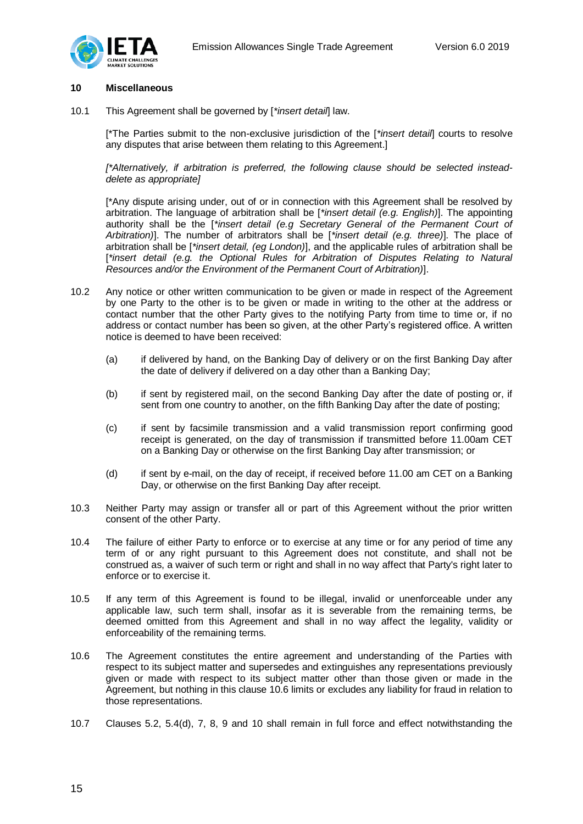

### <span id="page-14-0"></span>**10 Miscellaneous**

10.1 This Agreement shall be governed by [*\*insert detail*] law.

[\*The Parties submit to the non-exclusive jurisdiction of the [*\*insert detail*] courts to resolve any disputes that arise between them relating to this Agreement.]

*[\*Alternatively, if arbitration is preferred, the following clause should be selected insteaddelete as appropriate]*

[\*Any dispute arising under, out of or in connection with this Agreement shall be resolved by arbitration. The language of arbitration shall be [*\*insert detail (e.g. English)*]. The appointing authority shall be the [*\*insert detail (e.g Secretary General of the Permanent Court of Arbitration)*]. The number of arbitrators shall be [*\*insert detail (e.g. three)*]. The place of arbitration shall be [*\*insert detail, (eg London)*], and the applicable rules of arbitration shall be [\*insert detail (e.g. the Optional Rules for Arbitration of Disputes Relating to Natural *Resources and/or the Environment of the Permanent Court of Arbitration)*].

- 10.2 Any notice or other written communication to be given or made in respect of the Agreement by one Party to the other is to be given or made in writing to the other at the address or contact number that the other Party gives to the notifying Party from time to time or, if no address or contact number has been so given, at the other Party's registered office. A written notice is deemed to have been received:
	- (a) if delivered by hand, on the Banking Day of delivery or on the first Banking Day after the date of delivery if delivered on a day other than a Banking Day;
	- (b) if sent by registered mail, on the second Banking Day after the date of posting or, if sent from one country to another, on the fifth Banking Day after the date of posting;
	- (c) if sent by facsimile transmission and a valid transmission report confirming good receipt is generated, on the day of transmission if transmitted before 11.00am CET on a Banking Day or otherwise on the first Banking Day after transmission; or
	- (d) if sent by e-mail, on the day of receipt, if received before 11.00 am CET on a Banking Day, or otherwise on the first Banking Day after receipt.
- 10.3 Neither Party may assign or transfer all or part of this Agreement without the prior written consent of the other Party.
- 10.4 The failure of either Party to enforce or to exercise at any time or for any period of time any term of or any right pursuant to this Agreement does not constitute, and shall not be construed as, a waiver of such term or right and shall in no way affect that Party's right later to enforce or to exercise it.
- 10.5 If any term of this Agreement is found to be illegal, invalid or unenforceable under any applicable law, such term shall, insofar as it is severable from the remaining terms, be deemed omitted from this Agreement and shall in no way affect the legality, validity or enforceability of the remaining terms.
- 10.6 The Agreement constitutes the entire agreement and understanding of the Parties with respect to its subject matter and supersedes and extinguishes any representations previously given or made with respect to its subject matter other than those given or made in the Agreement, but nothing in this clause 10.6 limits or excludes any liability for fraud in relation to those representations.
- 10.7 Clauses 5.2, 5.4(d), 7, 8, 9 and 10 shall remain in full force and effect notwithstanding the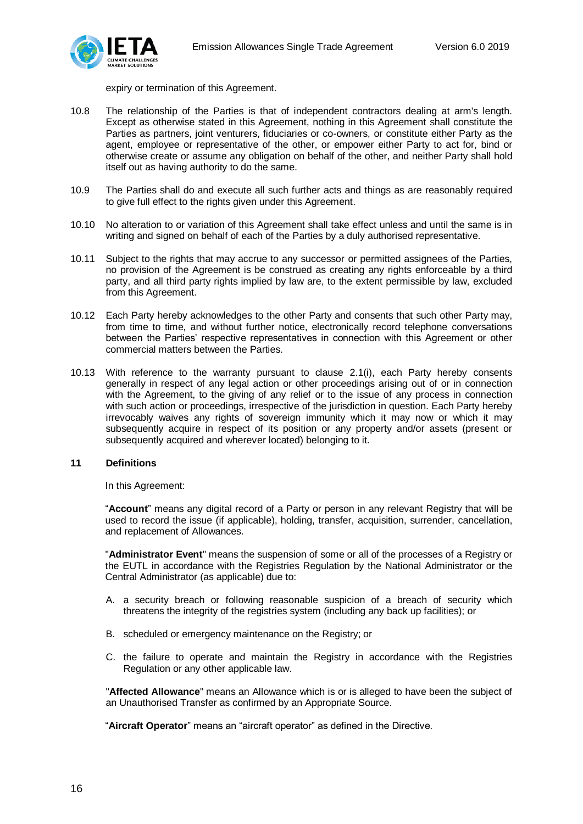

expiry or termination of this Agreement.

- 10.8 The relationship of the Parties is that of independent contractors dealing at arm's length. Except as otherwise stated in this Agreement, nothing in this Agreement shall constitute the Parties as partners, joint venturers, fiduciaries or co-owners, or constitute either Party as the agent, employee or representative of the other, or empower either Party to act for, bind or otherwise create or assume any obligation on behalf of the other, and neither Party shall hold itself out as having authority to do the same.
- 10.9 The Parties shall do and execute all such further acts and things as are reasonably required to give full effect to the rights given under this Agreement.
- 10.10 No alteration to or variation of this Agreement shall take effect unless and until the same is in writing and signed on behalf of each of the Parties by a duly authorised representative.
- 10.11 Subject to the rights that may accrue to any successor or permitted assignees of the Parties, no provision of the Agreement is be construed as creating any rights enforceable by a third party, and all third party rights implied by law are, to the extent permissible by law, excluded from this Agreement.
- 10.12 Each Party hereby acknowledges to the other Party and consents that such other Party may, from time to time, and without further notice, electronically record telephone conversations between the Parties' respective representatives in connection with this Agreement or other commercial matters between the Parties.
- 10.13 With reference to the warranty pursuant to clause 2.1(i), each Party hereby consents generally in respect of any legal action or other proceedings arising out of or in connection with the Agreement, to the giving of any relief or to the issue of any process in connection with such action or proceedings, irrespective of the jurisdiction in question. Each Party hereby irrevocably waives any rights of sovereign immunity which it may now or which it may subsequently acquire in respect of its position or any property and/or assets (present or subsequently acquired and wherever located) belonging to it.

#### <span id="page-15-0"></span>**11 Definitions**

In this Agreement:

"**Account**" means any digital record of a Party or person in any relevant Registry that will be used to record the issue (if applicable), holding, transfer, acquisition, surrender, cancellation, and replacement of Allowances.

"**Administrator Event**" means the suspension of some or all of the processes of a Registry or the EUTL in accordance with the Registries Regulation by the National Administrator or the Central Administrator (as applicable) due to:

- A. a security breach or following reasonable suspicion of a breach of security which threatens the integrity of the registries system (including any back up facilities); or
- B. scheduled or emergency maintenance on the Registry; or
- C. the failure to operate and maintain the Registry in accordance with the Registries Regulation or any other applicable law.

"**Affected Allowance**" means an Allowance which is or is alleged to have been the subject of an Unauthorised Transfer as confirmed by an Appropriate Source.

"**Aircraft Operator**" means an "aircraft operator" as defined in the Directive.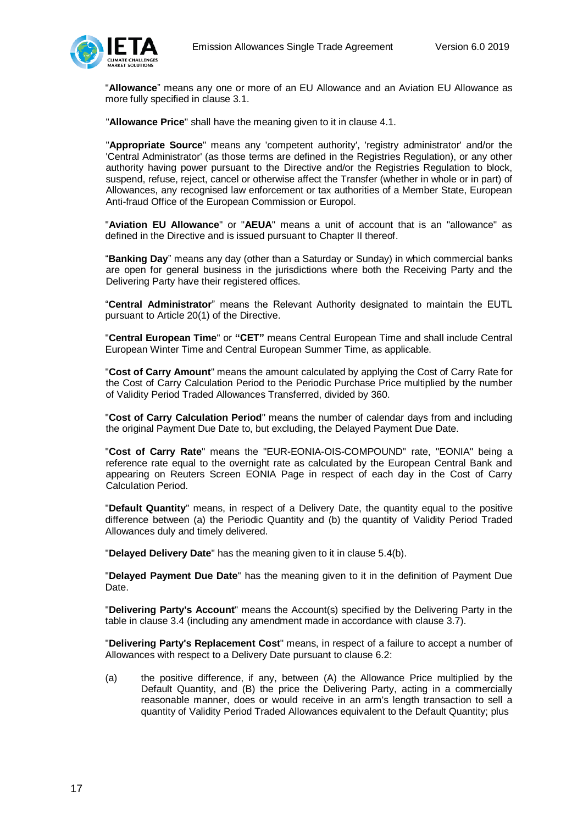

"**Allowance**" means any one or more of an EU Allowance and an Aviation EU Allowance as more fully specified in clause 3.1.

"**Allowance Price**" shall have the meaning given to it in clause 4.1.

"**Appropriate Source**" means any 'competent authority', 'registry administrator' and/or the 'Central Administrator' (as those terms are defined in the Registries Regulation), or any other authority having power pursuant to the Directive and/or the Registries Regulation to block, suspend, refuse, reject, cancel or otherwise affect the Transfer (whether in whole or in part) of Allowances, any recognised law enforcement or tax authorities of a Member State, European Anti-fraud Office of the European Commission or Europol.

"**Aviation EU Allowance**" or "**AEUA**" means a unit of account that is an "allowance" as defined in the Directive and is issued pursuant to Chapter II thereof.

"**Banking Day**" means any day (other than a Saturday or Sunday) in which commercial banks are open for general business in the jurisdictions where both the Receiving Party and the Delivering Party have their registered offices.

"**Central Administrator**" means the Relevant Authority designated to maintain the EUTL pursuant to Article 20(1) of the Directive.

"**Central European Time**" or **"CET"** means Central European Time and shall include Central European Winter Time and Central European Summer Time, as applicable.

"**Cost of Carry Amount**" means the amount calculated by applying the Cost of Carry Rate for the Cost of Carry Calculation Period to the Periodic Purchase Price multiplied by the number of Validity Period Traded Allowances Transferred, divided by 360.

"**Cost of Carry Calculation Period**" means the number of calendar days from and including the original Payment Due Date to, but excluding, the Delayed Payment Due Date.

"**Cost of Carry Rate**" means the "EUR-EONIA-OIS-COMPOUND" rate, "EONIA" being a reference rate equal to the overnight rate as calculated by the European Central Bank and appearing on Reuters Screen EONIA Page in respect of each day in the Cost of Carry Calculation Period.

"**Default Quantity**" means, in respect of a Delivery Date, the quantity equal to the positive difference between (a) the Periodic Quantity and (b) the quantity of Validity Period Traded Allowances duly and timely delivered.

"**Delayed Delivery Date**" has the meaning given to it in clause 5.4(b).

"**Delayed Payment Due Date**" has the meaning given to it in the definition of Payment Due Date.

"**Delivering Party's Account**" means the Account(s) specified by the Delivering Party in the table in clause 3.4 (including any amendment made in accordance with clause 3.7).

"**Delivering Party's Replacement Cost**" means, in respect of a failure to accept a number of Allowances with respect to a Delivery Date pursuant to clause 6.2:

(a) the positive difference, if any, between (A) the Allowance Price multiplied by the Default Quantity, and (B) the price the Delivering Party, acting in a commercially reasonable manner, does or would receive in an arm's length transaction to sell a quantity of Validity Period Traded Allowances equivalent to the Default Quantity; plus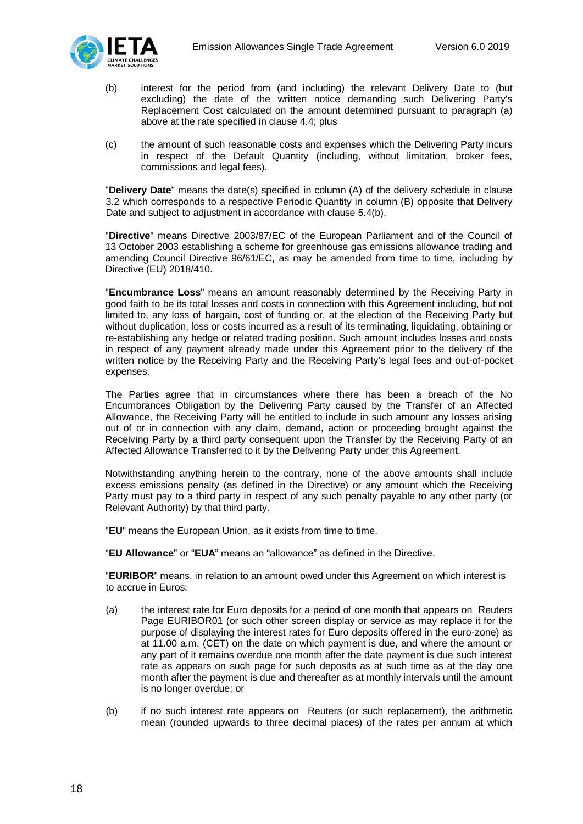

- (b) interest for the period from (and including) the relevant Delivery Date to (but excluding) the date of the written notice demanding such Delivering Party's Replacement Cost calculated on the amount determined pursuant to paragraph (a) above at the rate specified in clause 4.4; plus
- (c) the amount of such reasonable costs and expenses which the Delivering Party incurs in respect of the Default Quantity (including, without limitation, broker fees, commissions and legal fees).

"**Delivery Date**" means the date(s) specified in column (A) of the delivery schedule in clause 3.2 which corresponds to a respective Periodic Quantity in column (B) opposite that Delivery Date and subject to adjustment in accordance with clause 5.4(b).

"**Directive**" means Directive 2003/87/EC of the European Parliament and of the Council of 13 October 2003 establishing a scheme for greenhouse gas emissions allowance trading and amending Council Directive 96/61/EC, as may be amended from time to time, including by Directive (EU) 2018/410.

"**Encumbrance Loss**" means an amount reasonably determined by the Receiving Party in good faith to be its total losses and costs in connection with this Agreement including, but not limited to, any loss of bargain, cost of funding or, at the election of the Receiving Party but without duplication, loss or costs incurred as a result of its terminating, liquidating, obtaining or re-establishing any hedge or related trading position. Such amount includes losses and costs in respect of any payment already made under this Agreement prior to the delivery of the written notice by the Receiving Party and the Receiving Party's legal fees and out-of-pocket expenses.

The Parties agree that in circumstances where there has been a breach of the No Encumbrances Obligation by the Delivering Party caused by the Transfer of an Affected Allowance, the Receiving Party will be entitled to include in such amount any losses arising out of or in connection with any claim, demand, action or proceeding brought against the Receiving Party by a third party consequent upon the Transfer by the Receiving Party of an Affected Allowance Transferred to it by the Delivering Party under this Agreement.

Notwithstanding anything herein to the contrary, none of the above amounts shall include excess emissions penalty (as defined in the Directive) or any amount which the Receiving Party must pay to a third party in respect of any such penalty payable to any other party (or Relevant Authority) by that third party.

"**EU**" means the European Union, as it exists from time to time.

"**EU Allowance**" or "**EUA**" means an "allowance" as defined in the Directive.

"**EURIBOR**" means, in relation to an amount owed under this Agreement on which interest is to accrue in Euros:

- (a) the interest rate for Euro deposits for a period of one month that appears on Reuters Page EURIBOR01 (or such other screen display or service as may replace it for the purpose of displaying the interest rates for Euro deposits offered in the euro-zone) as at 11.00 a.m. (CET) on the date on which payment is due, and where the amount or any part of it remains overdue one month after the date payment is due such interest rate as appears on such page for such deposits as at such time as at the day one month after the payment is due and thereafter as at monthly intervals until the amount is no longer overdue; or
- (b) if no such interest rate appears on Reuters (or such replacement), the arithmetic mean (rounded upwards to three decimal places) of the rates per annum at which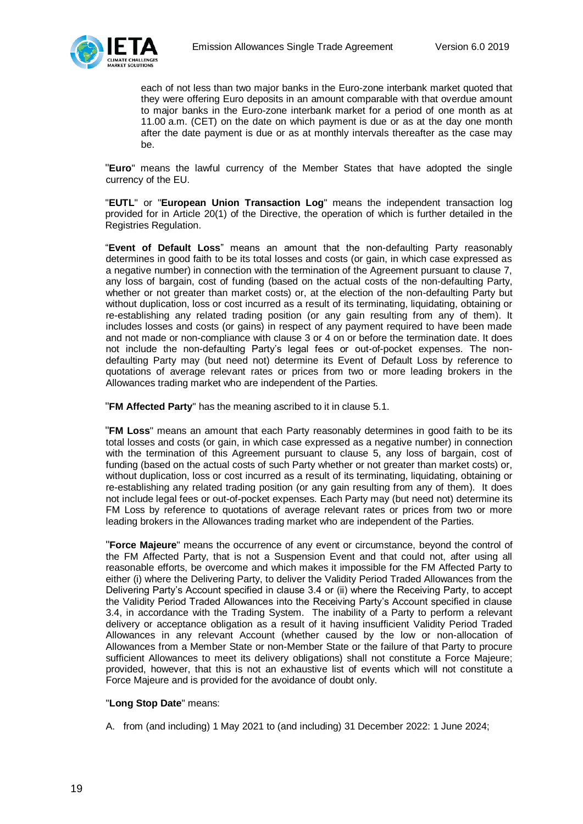

each of not less than two major banks in the Euro-zone interbank market quoted that they were offering Euro deposits in an amount comparable with that overdue amount to major banks in the Euro-zone interbank market for a period of one month as at 11.00 a.m. (CET) on the date on which payment is due or as at the day one month after the date payment is due or as at monthly intervals thereafter as the case may be.

"**Euro**" means the lawful currency of the Member States that have adopted the single currency of the EU.

"**EUTL**" or "**European Union Transaction Log**" means the independent transaction log provided for in Article 20(1) of the Directive, the operation of which is further detailed in the Registries Regulation.

"**Event of Default Loss**" means an amount that the non-defaulting Party reasonably determines in good faith to be its total losses and costs (or gain, in which case expressed as a negative number) in connection with the termination of the Agreement pursuant to clause 7, any loss of bargain, cost of funding (based on the actual costs of the non-defaulting Party, whether or not greater than market costs) or, at the election of the non-defaulting Party but without duplication, loss or cost incurred as a result of its terminating, liquidating, obtaining or re-establishing any related trading position (or any gain resulting from any of them). It includes losses and costs (or gains) in respect of any payment required to have been made and not made or non-compliance with clause 3 or 4 on or before the termination date. It does not include the non-defaulting Party's legal fees or out-of-pocket expenses. The nondefaulting Party may (but need not) determine its Event of Default Loss by reference to quotations of average relevant rates or prices from two or more leading brokers in the Allowances trading market who are independent of the Parties.

"**FM Affected Party**" has the meaning ascribed to it in clause 5.1.

"**FM Loss**" means an amount that each Party reasonably determines in good faith to be its total losses and costs (or gain, in which case expressed as a negative number) in connection with the termination of this Agreement pursuant to clause 5, any loss of bargain, cost of funding (based on the actual costs of such Party whether or not greater than market costs) or, without duplication, loss or cost incurred as a result of its terminating, liquidating, obtaining or re-establishing any related trading position (or any gain resulting from any of them). It does not include legal fees or out-of-pocket expenses. Each Party may (but need not) determine its FM Loss by reference to quotations of average relevant rates or prices from two or more leading brokers in the Allowances trading market who are independent of the Parties.

"**Force Majeure**" means the occurrence of any event or circumstance, beyond the control of the FM Affected Party, that is not a Suspension Event and that could not, after using all reasonable efforts, be overcome and which makes it impossible for the FM Affected Party to either (i) where the Delivering Party, to deliver the Validity Period Traded Allowances from the Delivering Party's Account specified in clause 3.4 or (ii) where the Receiving Party, to accept the Validity Period Traded Allowances into the Receiving Party's Account specified in clause 3.4, in accordance with the Trading System. The inability of a Party to perform a relevant delivery or acceptance obligation as a result of it having insufficient Validity Period Traded Allowances in any relevant Account (whether caused by the low or non-allocation of Allowances from a Member State or non-Member State or the failure of that Party to procure sufficient Allowances to meet its delivery obligations) shall not constitute a Force Majeure; provided, however, that this is not an exhaustive list of events which will not constitute a Force Majeure and is provided for the avoidance of doubt only.

## "**Long Stop Date**" means:

A. from (and including) 1 May 2021 to (and including) 31 December 2022: 1 June 2024;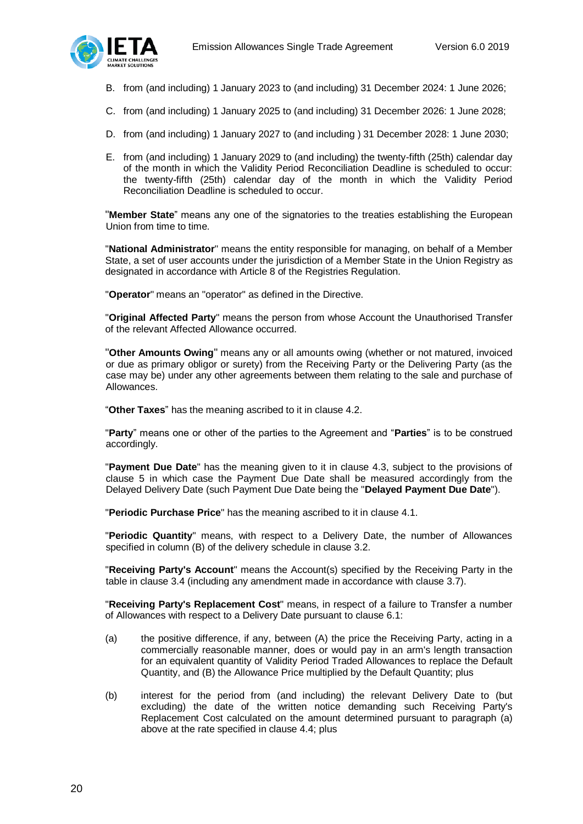

- B. from (and including) 1 January 2023 to (and including) 31 December 2024: 1 June 2026;
- C. from (and including) 1 January 2025 to (and including) 31 December 2026: 1 June 2028;
- D. from (and including) 1 January 2027 to (and including ) 31 December 2028: 1 June 2030;
- E. from (and including) 1 January 2029 to (and including) the twenty-fifth (25th) calendar day of the month in which the Validity Period Reconciliation Deadline is scheduled to occur: the twenty-fifth (25th) calendar day of the month in which the Validity Period Reconciliation Deadline is scheduled to occur.

"**Member State**" means any one of the signatories to the treaties establishing the European Union from time to time.

"**National Administrator**" means the entity responsible for managing, on behalf of a Member State, a set of user accounts under the jurisdiction of a Member State in the Union Registry as designated in accordance with Article 8 of the Registries Regulation.

"**Operator**" means an "operator" as defined in the Directive.

"**Original Affected Party**" means the person from whose Account the Unauthorised Transfer of the relevant Affected Allowance occurred.

"**Other Amounts Owing**" means any or all amounts owing (whether or not matured, invoiced or due as primary obligor or surety) from the Receiving Party or the Delivering Party (as the case may be) under any other agreements between them relating to the sale and purchase of Allowances.

"**Other Taxes**" has the meaning ascribed to it in clause 4.2.

"**Party**" means one or other of the parties to the Agreement and "**Parties**" is to be construed accordingly.

"**Payment Due Date**" has the meaning given to it in clause 4.3, subject to the provisions of clause 5 in which case the Payment Due Date shall be measured accordingly from the Delayed Delivery Date (such Payment Due Date being the "**Delayed Payment Due Date**").

"**Periodic Purchase Price**" has the meaning ascribed to it in clause 4.1.

"**Periodic Quantity**" means, with respect to a Delivery Date, the number of Allowances specified in column (B) of the delivery schedule in clause 3.2.

"**Receiving Party's Account**" means the Account(s) specified by the Receiving Party in the table in clause 3.4 (including any amendment made in accordance with clause 3.7).

"**Receiving Party's Replacement Cost**" means, in respect of a failure to Transfer a number of Allowances with respect to a Delivery Date pursuant to clause 6.1:

- (a) the positive difference, if any, between (A) the price the Receiving Party, acting in a commercially reasonable manner, does or would pay in an arm's length transaction for an equivalent quantity of Validity Period Traded Allowances to replace the Default Quantity, and (B) the Allowance Price multiplied by the Default Quantity; plus
- (b) interest for the period from (and including) the relevant Delivery Date to (but excluding) the date of the written notice demanding such Receiving Party's Replacement Cost calculated on the amount determined pursuant to paragraph (a) above at the rate specified in clause 4.4; plus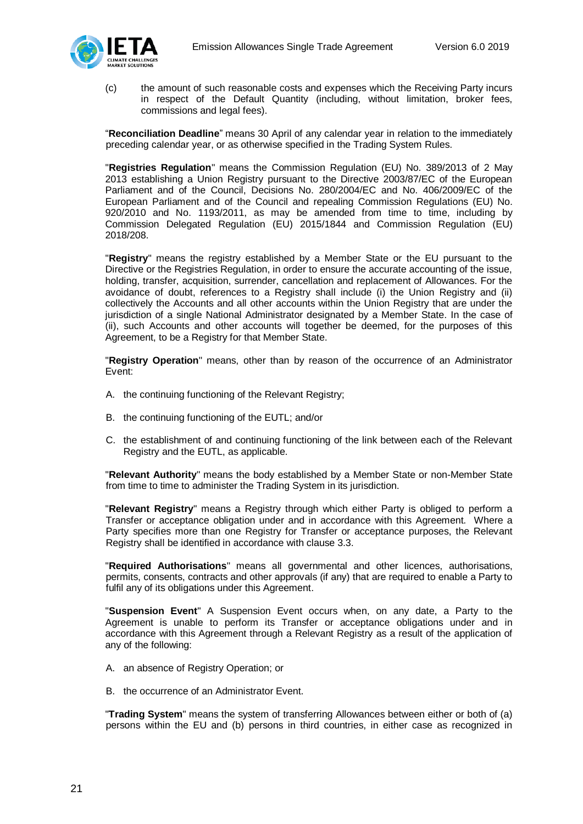

(c) the amount of such reasonable costs and expenses which the Receiving Party incurs in respect of the Default Quantity (including, without limitation, broker fees, commissions and legal fees).

"**Reconciliation Deadline**" means 30 April of any calendar year in relation to the immediately preceding calendar year, or as otherwise specified in the Trading System Rules.

"**Registries Regulation**" means the Commission Regulation (EU) No. 389/2013 of 2 May 2013 establishing a Union Registry pursuant to the Directive 2003/87/EC of the European Parliament and of the Council, Decisions No. 280/2004/EC and No. 406/2009/EC of the European Parliament and of the Council and repealing Commission Regulations (EU) No. 920/2010 and No. 1193/2011, as may be amended from time to time, including by Commission Delegated Regulation (EU) 2015/1844 and Commission Regulation (EU) 2018/208.

"**Registry**" means the registry established by a Member State or the EU pursuant to the Directive or the Registries Regulation, in order to ensure the accurate accounting of the issue, holding, transfer, acquisition, surrender, cancellation and replacement of Allowances. For the avoidance of doubt, references to a Registry shall include (i) the Union Registry and (ii) collectively the Accounts and all other accounts within the Union Registry that are under the jurisdiction of a single National Administrator designated by a Member State. In the case of (ii), such Accounts and other accounts will together be deemed, for the purposes of this Agreement, to be a Registry for that Member State.

"**Registry Operation**" means, other than by reason of the occurrence of an Administrator Event:

- A. the continuing functioning of the Relevant Registry;
- B. the continuing functioning of the EUTL; and/or
- C. the establishment of and continuing functioning of the link between each of the Relevant Registry and the EUTL, as applicable.

"**Relevant Authority**" means the body established by a Member State or non-Member State from time to time to administer the Trading System in its jurisdiction.

"**Relevant Registry**" means a Registry through which either Party is obliged to perform a Transfer or acceptance obligation under and in accordance with this Agreement. Where a Party specifies more than one Registry for Transfer or acceptance purposes, the Relevant Registry shall be identified in accordance with clause 3.3.

"**Required Authorisations**" means all governmental and other licences, authorisations, permits, consents, contracts and other approvals (if any) that are required to enable a Party to fulfil any of its obligations under this Agreement.

"**Suspension Event**" A Suspension Event occurs when, on any date, a Party to the Agreement is unable to perform its Transfer or acceptance obligations under and in accordance with this Agreement through a Relevant Registry as a result of the application of any of the following:

- A. an absence of Registry Operation; or
- B. the occurrence of an Administrator Event.

"**Trading System**" means the system of transferring Allowances between either or both of (a) persons within the EU and (b) persons in third countries, in either case as recognized in